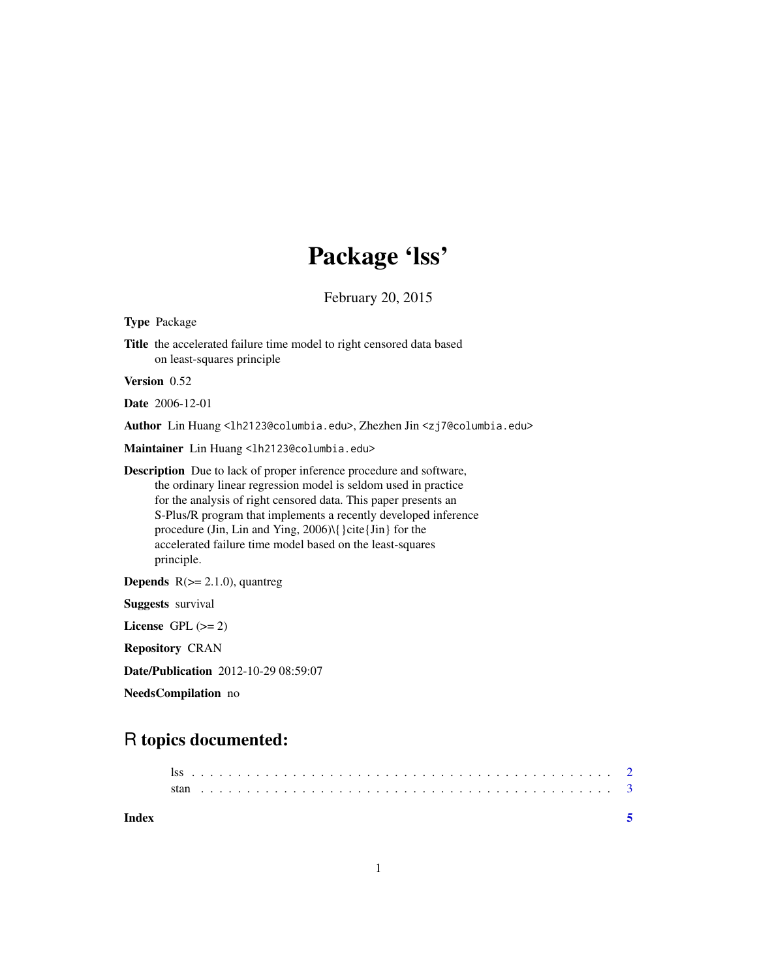## Package 'lss'

February 20, 2015

Type Package

Title the accelerated failure time model to right censored data based on least-squares principle

Version 0.52

Date 2006-12-01

Author Lin Huang <lh2123@columbia.edu>, Zhezhen Jin <zj7@columbia.edu>

Maintainer Lin Huang <1h2123@columbia.edu>

Description Due to lack of proper inference procedure and software, the ordinary linear regression model is seldom used in practice for the analysis of right censored data. This paper presents an S-Plus/R program that implements a recently developed inference procedure (Jin, Lin and Ying, 2006)\{ }cite{Jin} for the accelerated failure time model based on the least-squares principle.

**Depends**  $R$ ( $>= 2.1.0$ ), quantreg Suggests survival License GPL  $(>= 2)$ Repository CRAN Date/Publication 2012-10-29 08:59:07

NeedsCompilation no

## R topics documented: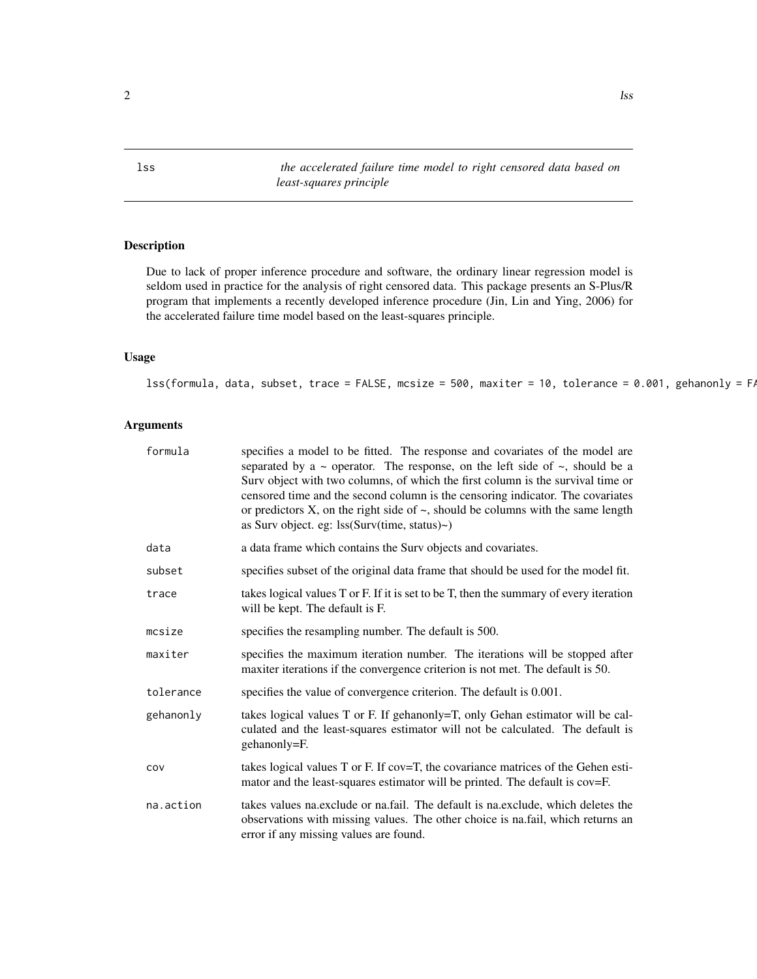<span id="page-1-0"></span>lss *the accelerated failure time model to right censored data based on least-squares principle*

#### Description

Due to lack of proper inference procedure and software, the ordinary linear regression model is seldom used in practice for the analysis of right censored data. This package presents an S-Plus/R program that implements a recently developed inference procedure (Jin, Lin and Ying, 2006) for the accelerated failure time model based on the least-squares principle.

#### Usage

 $\text{lss}(\text{formula}, \text{ data}, \text{ subset}, \text{trace} = \text{FALSE}, \text{mcsize} = 500, \text{maxiter} = 10, \text{ tolerance} = 0.001, \text{ gehanonly} = \text{FAR}$ 

#### Arguments

| formula   | specifies a model to be fitted. The response and covariates of the model are<br>separated by a $\sim$ operator. The response, on the left side of $\sim$ , should be a<br>Surv object with two columns, of which the first column is the survival time or<br>censored time and the second column is the censoring indicator. The covariates<br>or predictors $X$ , on the right side of $\sim$ , should be columns with the same length<br>as Surv object. eg: $\text{lss}(\text{Surv}(\text{time}, \text{status})\sim)$ |
|-----------|--------------------------------------------------------------------------------------------------------------------------------------------------------------------------------------------------------------------------------------------------------------------------------------------------------------------------------------------------------------------------------------------------------------------------------------------------------------------------------------------------------------------------|
| data      | a data frame which contains the Surv objects and covariates.                                                                                                                                                                                                                                                                                                                                                                                                                                                             |
| subset    | specifies subset of the original data frame that should be used for the model fit.                                                                                                                                                                                                                                                                                                                                                                                                                                       |
| trace     | takes logical values T or F. If it is set to be T, then the summary of every iteration<br>will be kept. The default is F.                                                                                                                                                                                                                                                                                                                                                                                                |
| mcsize    | specifies the resampling number. The default is 500.                                                                                                                                                                                                                                                                                                                                                                                                                                                                     |
| maxiter   | specifies the maximum iteration number. The iterations will be stopped after<br>maxiter iterations if the convergence criterion is not met. The default is 50.                                                                                                                                                                                                                                                                                                                                                           |
| tolerance | specifies the value of convergence criterion. The default is 0.001.                                                                                                                                                                                                                                                                                                                                                                                                                                                      |
| gehanonly | takes logical values T or F. If gehanonly=T, only Gehan estimator will be cal-<br>culated and the least-squares estimator will not be calculated. The default is<br>gehanonly=F.                                                                                                                                                                                                                                                                                                                                         |
| COV       | takes logical values T or F. If cov=T, the covariance matrices of the Gehen esti-<br>mator and the least-squares estimator will be printed. The default is cov=F.                                                                                                                                                                                                                                                                                                                                                        |
| na.action | takes values na. exclude or na. fail. The default is na. exclude, which deletes the<br>observations with missing values. The other choice is na.fail, which returns an<br>error if any missing values are found.                                                                                                                                                                                                                                                                                                         |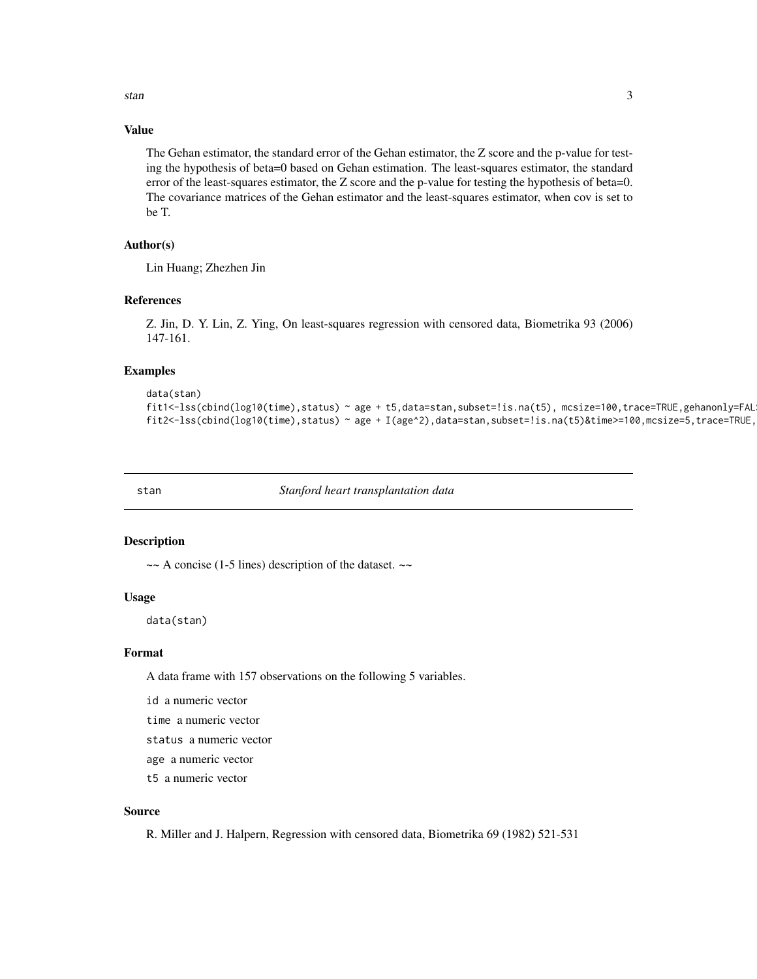<span id="page-2-0"></span>stan 3

#### Value

The Gehan estimator, the standard error of the Gehan estimator, the Z score and the p-value for testing the hypothesis of beta=0 based on Gehan estimation. The least-squares estimator, the standard error of the least-squares estimator, the Z score and the p-value for testing the hypothesis of beta=0. The covariance matrices of the Gehan estimator and the least-squares estimator, when cov is set to be T.

#### Author(s)

Lin Huang; Zhezhen Jin

#### References

Z. Jin, D. Y. Lin, Z. Ying, On least-squares regression with censored data, Biometrika 93 (2006) 147-161.

#### Examples

```
data(stan)
fit1<-lss(cbind(log10(time),status) ~ age + t5,data=stan,subset=!is.na(t5), mcsize=100,trace=TRUE,gehanonly=FAL
fit2<-lss(cbind(log10(time),status) ~ age + I(age^2),data=stan,subset=!is.na(t5)&time>=100,mcsize=5,trace=TRUE,
```
stan *Stanford heart transplantation data*

#### Description

 $\sim$  A concise (1-5 lines) description of the dataset.  $\sim$ 

#### Usage

data(stan)

#### Format

A data frame with 157 observations on the following 5 variables.

id a numeric vector

time a numeric vector

status a numeric vector

age a numeric vector

t5 a numeric vector

#### Source

R. Miller and J. Halpern, Regression with censored data, Biometrika 69 (1982) 521-531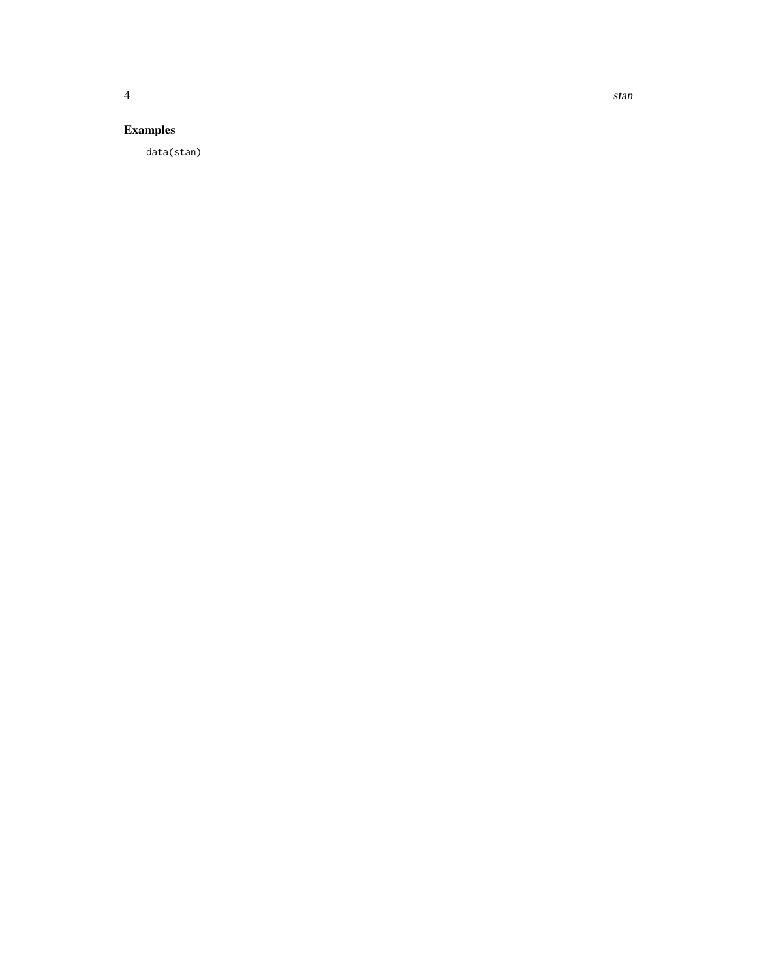### Examples

data(stan)